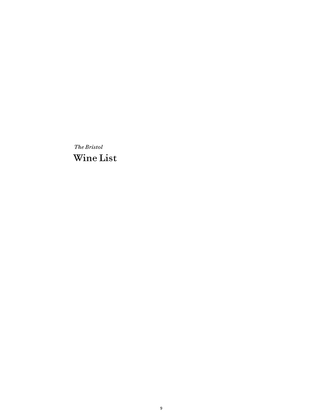*The Bristol* Wine List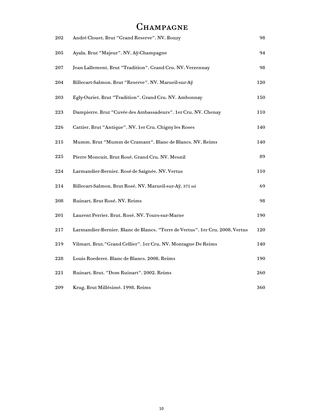# CHAMPAGNE

| 202 | André Clouet. Brut "Grand Reserve". NV. Bouzy                                 | 98  |
|-----|-------------------------------------------------------------------------------|-----|
| 205 | Ayala. Brut "Majeur". NV. Aÿ-Champagne                                        | 94  |
| 207 | Jean Lallement. Brut "Tradition". Grand Cru. NV. Verzennay                    | 98  |
| 204 | Billecart-Salmon. Brut "Reserve". NV. Marueil-sur-Aÿ                          | 120 |
| 203 | Egly-Ouriet. Brut "Tradition". Grand Cru. NV. Ambonnay                        | 150 |
| 223 | Dampierre. Brut "Cuvée des Ambassadeurs". 1 er Cru. NV. Chenay                | 110 |
| 226 | Cattier. Brut "Antique". NV. 1er Cru. Chigny les Roses                        | 140 |
| 215 | Mumm. Brut "Mumm de Cramant". Blanc de Blancs. NV. Reims                      | 140 |
| 225 | Pierre Moncuit. Brut Rosé. Grand Cru. NV. Mesnil                              | 89  |
| 224 | Larmandier-Bernier. Rosé de Saignée. NV. Vertus                               | 110 |
| 214 | Billecart-Salmon. Brut Rosé. NV. Marueil-sur-Aÿ. 375 ml                       | 69  |
| 208 | Ruinart. Brut Rosé. NV. Reims                                                 | 98  |
| 201 | Laurent Perrier. Brut. Rosé. NV. Tours-sur-Marne                              | 190 |
| 217 | Larmandier-Bernier. Blanc de Blancs. "Terre de Vertus". 1er Cru. 2008. Vertus | 120 |
| 219 | Vilmart. Brut."Grand Cellier". 1er Cru. NV. Montagne De Reims                 | 140 |
| 228 | Louis Roederer. Blanc de Blancs. 2008. Reims                                  | 190 |
| 221 | Ruinart. Brut. "Dom Ruinart". 2002. Reims                                     | 260 |
| 209 | Krug. Brut Millésimé. 1998. Reims                                             | 360 |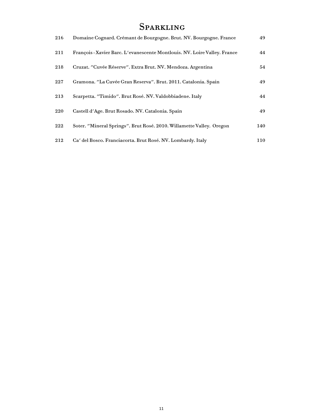# **SPARKLING**

| 216 | Domaine Cognard. Crémant de Bourgogne. Brut. NV. Bourgogne. France        | 49  |
|-----|---------------------------------------------------------------------------|-----|
| 211 | François - Xavier Barc. L'evanescente Montlouis. NV. Loire Valley. France | 44  |
| 218 | Cruzat. "Cuvée Réserve". Extra Brut. NV. Mendoza. Argentina               | 54  |
| 227 | Gramona. "La Cuvée Gran Reserva". Brut. 2011. Catalonia. Spain            | 49  |
| 213 | Scarpetta. "Timido". Brut Rosé. NV. Valdobbiadene. Italy                  | 44  |
| 220 | Castell d'Age. Brut Rosado. NV. Catalonia. Spain                          | 49  |
| 222 | Soter. "Mineral Springs". Brut Rosé. 2010. Willamette Valley. Oregon      | 140 |
| 212 | Ca' del Bosco. Franciacorta. Brut Rosé. NV. Lombardy. Italy               | 110 |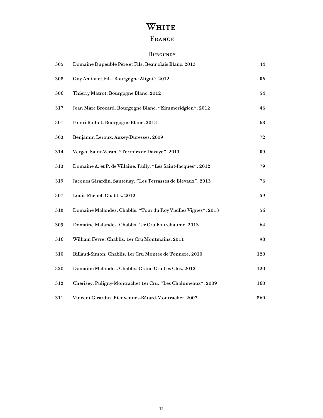# WHITE

## FRANCE

#### **BURGUNDY**

| 305 | Domaine Dupeuble Père et Fils. Beaujolais Blanc. 2013          | 44         |
|-----|----------------------------------------------------------------|------------|
| 308 | Guy Amiot et Fils. Bourgogne Aligoté. 2012                     | 56         |
| 306 | Thierry Matrot. Bourgogne Blanc. 2012                          | 54         |
| 317 | Jean Marc Brocard. Bourgogne Blanc. "Kimmeridgien". 2012       | 46         |
| 301 | Henri Boillot. Bourgogne Blanc. 2013                           | 68         |
| 303 | Benjamin Leroux. Auxey-Duresses. 2009                          | 72         |
| 314 | Verget. Saint-Veran. "Terroirs de Davaye". 2011                | 59         |
| 313 | Domaine A. et P. de Villaine. Rully. "Les Saint-Jacques". 2012 | 79         |
| 319 | Jacques Girardin. Santenay. "Les Terrasses de Bievaux". 2013   | 76         |
| 307 | Louis Michel. Chablis. 2012                                    | 59         |
| 318 | Domaine Malandes. Chablis. "Tour du Roy Vieilles Vignes". 2013 | 56         |
| 309 | Domaine Malandes. Chablis. 1er Cru Fourchaume. 2013            | 64         |
| 316 | William Fevre. Chablis. 1er Cru Montmains. 2011                | 98         |
| 310 | Billaud-Simon. Chablis. 1er Cru Montée de Tonnere. 2010        | 120        |
| 320 | Domaine Malandes. Chablis. Grand Cru Les Clos. 2012            | 120        |
| 312 | Chérisey. Puligny-Montrachet 1er Cru. "Les Chalumeaux". 2009   | <b>160</b> |
| 311 | Vincent Girardin. Bienvenues-Bâtard-Montrachet. 2007           | 360        |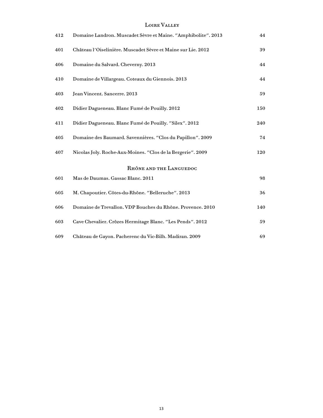#### Loire Valley

| 412 | Domaine Landron. Muscadet Sèvre et Maine. "Amphibolite". 2013 | 44  |
|-----|---------------------------------------------------------------|-----|
| 401 | Château l'Oiselinière. Muscadet Sèvre et Maine sur Lie. 2012  | 39  |
| 406 | Domaine du Salvard. Cheverny. 2013                            | 44  |
| 410 | Domaine de Villargeau. Coteaux du Giennois. 2013              | 44  |
| 403 | Jean Vincent. Sancerre. 2013                                  | 59  |
| 402 | Didier Dagueneau. Blanc Fumé de Pouilly. 2012                 | 150 |
| 411 | Didier Dagueneau. Blanc Fumé de Pouilly. "Silex". 2012        | 240 |
| 405 | Domaine des Baumard. Savennières. "Clos du Papillon". 2009    | 74  |
| 407 | Nicolas Joly. Roche-Aux-Moines. "Clos de la Bergerie". 2009   | 120 |
|     | RHÔNE AND THE LANGUEDOC                                       |     |
| 601 | Mas de Daumas. Gassac Blanc. 2011                             | 98  |
| 605 | M. Chapoutier. Côtes-du-Rhône. "Belleruche". 2013             | 36  |
| 606 | Domaine de Trevallon. VDP Bouches du Rhône. Provence. 2010    | 140 |
| 603 | Cave Chevalier. Crôzes Hermitage Blanc. "Les Pends". 2012     | 59  |
| 609 | Château de Gayon. Pacherenc du Vic-Bilh. Madiran. 2009        | 69  |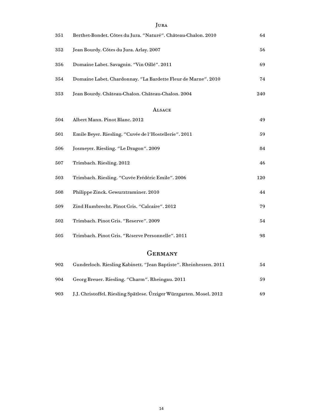| 351 | JUKA<br>Berthet-Bondet. Côtes du Jura. "Naturé". Château-Chalon. 2010 | 64  |
|-----|-----------------------------------------------------------------------|-----|
|     |                                                                       |     |
| 352 | Jean Bourdy. Côtes du Jura. Arlay. 2007                               | 56  |
| 356 | Domaine Labet. Savagnin. "Vin Oillé". 2011                            | 69  |
| 354 | Domaine Labet. Chardonnay. "La Bardette Fleur de Marne". 2010         | 74  |
| 353 | Jean Bourdy. Château-Chalon. Château-Chalon. 2004                     | 240 |
|     | <b>ALSACE</b>                                                         |     |
| 504 | Albert Mann. Pinot Blanc. 2012                                        | 49  |
| 501 | Emile Beyer. Riesling. "Cuvée de l'Hostellerie". 2011                 | 59  |
| 506 | Josmeyer. Riesling. "Le Dragon". 2009                                 | 84  |
| 507 | Trimbach. Riesling. 2012                                              | 46  |
| 503 | Trimbach. Riesling. "Cuvée Frédéric Emile". 2006                      | 120 |
| 508 | Philippe Zinck. Gewurztraminer. 2010                                  | 44  |
| 509 | Zind Humbrecht. Pinot Gris. "Calcaire". 2012                          | 79  |
| 502 | Trimbach. Pinot Gris. "Reserve". 2009                                 | 54  |
| 505 | Trimbach. Pinot Gris. "Réserve Personnelle". 2011                     | 98  |

### **GERMANY**

| 902 | Gunderloch. Riesling Kabinett. "Jean Baptiste". Rheinhessen. 2011    | 54 |
|-----|----------------------------------------------------------------------|----|
| 904 | Georg Breuer. Riesling. "Charm". Rheingau. 2011                      | 59 |
| 903 | J.J. Christoffel. Riesling Spätlese. Ürziger Würzgarten. Mosel. 2012 | 69 |

#### **JURA**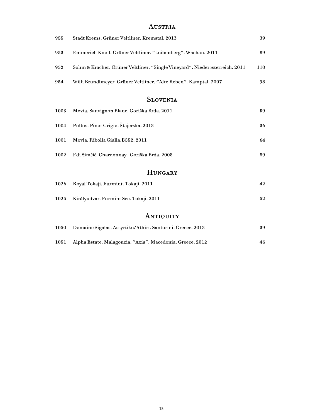### AUSTRIA

| 955 | Stadt Krems. Grüner Veltliner. Kremstal. 2013                               | 39  |
|-----|-----------------------------------------------------------------------------|-----|
| 953 | Emmerich Knoll. Grüner Veltliner. "Loibenberg". Wachau. 2011                | 89  |
| 952 | Sohm & Kracher. Grüner Veltliner. "Single Vineyard". Niederösterreich. 2011 | 110 |
| 954 | Willi Brundlmeyer. Grüner Veltliner. "Alte Reben". Kamptal. 2007            | 98  |

### Slovenia

|      | $\mathbf{H}$ tinto a pay                   |    |
|------|--------------------------------------------|----|
| 1002 | Edi Simčič. Chardonnay. Goriška Brda. 2008 | 89 |
| 1001 | Movia. Ribolla Gialla. B552. 2011          | 64 |
| 1004 | Pullus. Pinot Grigio. Štajerska. 2013      | 36 |
| 1003 | Movia. Sauvignon Blanc. Goriška Brda. 2011 | 59 |

#### **HUNGARY**

| 1026 Royal Tokaji. Furmint. Tokaji. 2011 | 42 |
|------------------------------------------|----|
|                                          |    |

Királyudvar. Furmint Sec. Tokaji. 2011 52

## ANTIQUITY

|          | 1050 Domaine Sigalas. Assyrtiko/Athiri. Santorini. Greece. 2013 | 39 |
|----------|-----------------------------------------------------------------|----|
| $1051\,$ | Alpha Estate. Malagouzia. "Axia". Macedonia. Greece. 2012       | 46 |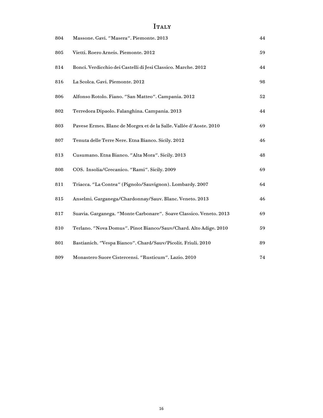## $I_{\rm TALY}$

| 804 | Massone. Gavi. "Masera". Piemonte. 2013                            | 44 |
|-----|--------------------------------------------------------------------|----|
| 805 | Vietti. Roero Arneis. Piemonte. 2012                               | 59 |
| 814 | Bonci. Verdicchio dei Castelli di Jesi Classico. Marche. 2012      | 44 |
| 816 | La Scolca. Gavi. Piemonte. 2012                                    | 98 |
| 806 | Alfonso Rotolo. Fiano. "San Matteo". Campania. 2012                | 52 |
| 802 | Terredora Dipaolo. Falanghina. Campania. 2013                      | 44 |
| 803 | Pavese Ermes. Blanc de Morgex et de la Salle. Vallée d'Aoste. 2010 | 69 |
| 807 | Tenuta delle Terre Nere. Etna Bianco. Sicily. 2012                 | 46 |
| 813 | Cusumano. Etna Bianco. "Alta Mora". Sicily. 2013                   | 48 |
| 808 | COS. Insolia/Grecanico. "Rami". Sicily. 2009                       | 69 |
| 811 | Triacca. "La Contea" (Pignolo/Sauvignon). Lombardy. 2007           | 64 |
| 815 | Anselmi. Garganega/Chardonnay/Sauv. Blanc. Veneto. 2013            | 46 |
| 817 | Suavia. Garganega. "Monte Carbonare". Soave Classico. Veneto. 2013 | 69 |
| 810 | Terlano. "Nova Domus". Pinot Bianco/Sauv/Chard. Alto Adige. 2010   | 59 |
| 801 | Bastianich. "Vespa Bianco". Chard/Sauv/Picolit. Friuli. 2010       | 89 |
| 809 | Monastero Suore Cistercensi. "Rusticum". Lazio. 2010               | 74 |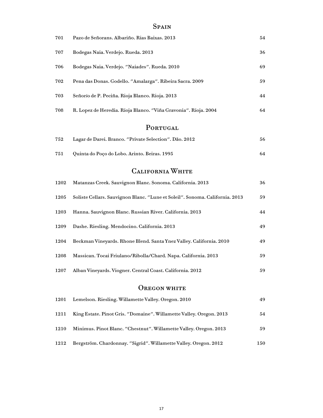## **SPAIN**

| 701  | Pazo de Señorans. Albariño. Rias Baixas. 2013                                | 54  |
|------|------------------------------------------------------------------------------|-----|
| 707  | Bodegas Naia. Verdejo. Rueda. 2013                                           | 36  |
| 706  | Bodegas Naia. Verdejo. "Naiades". Rueda. 2010                                | 69  |
| 702  | Pena das Donas. Godello. "Amalarga". Ribeira Sacra. 2009                     | 59  |
| 703  | Señorío de P. Peciña. Rioja Blanco. Rioja. 2013                              | 44  |
| 708  | R. Lopez de Heredia. Rioja Blanco. "Viña Gravonia". Rioja. 2004              | 64  |
|      | PORTUGAL                                                                     |     |
| 752  | Lagar de Darei. Branco. "Private Selection". Dão. 2012                       | 56  |
| 751  | Quinta do Poço do Lobo. Arinto. Beiras. 1995                                 | 64  |
|      | <b>CALIFORNIA WHITE</b>                                                      |     |
| 1202 | Matanzas Creek. Sauvignon Blanc. Sonoma. California. 2013                    | 36  |
| 1205 | Soliste Cellars. Sauvignon Blanc. "Lune et Soleil". Sonoma. California. 2013 | 59  |
| 1203 | Hanna. Sauvignon Blanc. Russian River. California. 2013                      | 44  |
| 1209 | Dashe. Riesling. Mendocino. California. 2013                                 | 49  |
| 1204 | Beckman Vineyards. Rhone Blend. Santa Ynez Valley. California. 2010          | 49  |
| 1208 | Massican. Tocai Friulano/Ribolla/Chard. Napa. California. 2013               | 59  |
| 1207 | Alban Vineyards. Viogner. Central Coast. California. 2012                    | 59  |
|      | OREGON WHITE                                                                 |     |
| 1201 | Lemelson. Riesling. Willamette Valley. Oregon. 2010                          | 49  |
| 1211 | King Estate. Pinot Gris. "Domaine". Willamette Valley. Oregon. 2013          | 54  |
| 1210 | Minimus. Pinot Blanc. "Chestnut". Willamette Valley. Oregon. 2013            | 59  |
| 1212 | Bergström. Chardonnay. "Sigrid". Willamette Valley. Oregon. 2012             | 150 |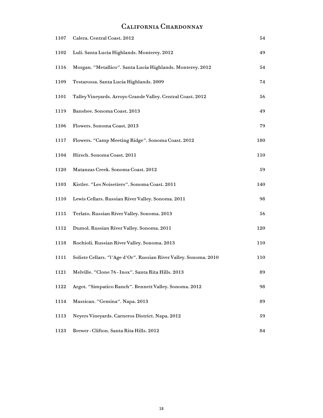## California Chardonnay

| 1107 | Calera. Central Coast. 2012                                       | 54  |
|------|-------------------------------------------------------------------|-----|
| 1102 | Luli. Santa Lucia Highlands. Monterey. 2012                       | 49  |
| 1116 | Morgan. "Metallico". Santa Lucia Highlands. Monterey. 2012        | 54  |
| 1109 | Testarossa. Santa Lucia Highlands. 2009                           | 74  |
| 1101 | Talley Vineyards. Arroyo Grande Valley. Central Coast. 2012       | 56  |
| 1119 | Banshee. Sonoma Coast. 2013                                       | 49  |
| 1106 | Flowers. Sonoma Coast. 2013                                       | 79  |
| 1117 | Flowers. "Camp Meeting Ridge". Sonoma Coast. 2012                 | 180 |
| 1104 | Hirsch. Sonoma Coast. 2011                                        | 110 |
| 1120 | Matanzas Creek. Sonoma Coast. 2012                                | 59  |
| 1103 | Kistler. "Les Noisetiers". Sonoma Coast. 2011                     | 140 |
| 1110 | Lewis Cellars. Russian River Valley. Sonoma. 2011                 | 98  |
| 1115 | Terlato. Russian River Valley. Sonoma. 2013                       | 56  |
| 1112 | Dumol. Russian River Valley. Sonoma. 2011                         | 120 |
| 1118 | Rochioli. Russian River Valley. Sonoma. 2013                      | 110 |
| 1111 | Soliste Cellars. "I'Age d'Or". Russian River Valley. Sonoma. 2010 | 110 |
| 1121 | Melville. "Clone 76 - Inox". Santa Rita Hills. 2013               | 89  |
| 1122 | Argot. "Simpatico Ranch". Bennett Valley. Sonoma. 2012            | 98  |
| 1114 | Massican. "Gemina". Napa. 2013                                    | 89  |
| 1113 | Neyers Vineyards. Carneros District. Napa. 2012                   | 59  |
| 1123 | Brewer - Clifton. Santa Rita Hills. 2012                          | 84  |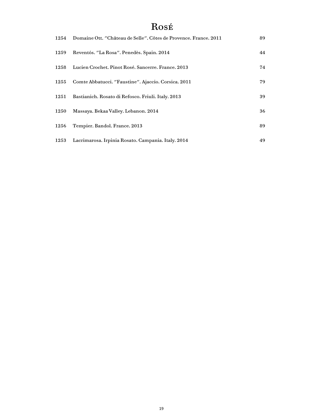# Rosé

| 1254 | Domaine Ott. "Château de Selle". Côtes de Provence. France. 2011 | 89 |
|------|------------------------------------------------------------------|----|
| 1259 | Reventós. "La Rosa". Penedès. Spain. 2014                        | 44 |
| 1258 | Lucien Crochet. Pinot Rosé. Sancerre. France. 2013               | 74 |
| 1255 | Comte Abbatucci. "Faustine". Ajaccio. Corsica. 2011              | 79 |
| 1251 | Bastianich. Rosato di Refosco. Friuli. Italy. 2013               | 39 |
| 1250 | Massaya. Bekaa Valley. Lebanon. 2014                             | 36 |
| 1256 | Tempier. Bandol. France. 2013                                    | 89 |
| 1253 | Lacrimarosa. Irpinia Rosato. Campania. Italy. 2014               | 49 |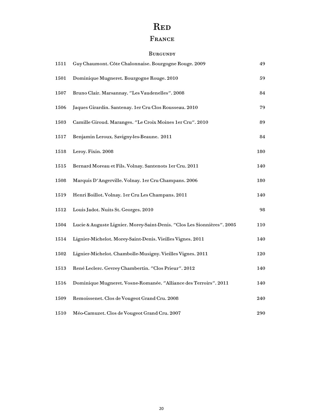# R<sub>ED</sub>

## FRANCE

#### Burgundy

| 1511 | Guy Chaumont. Côte Chalonnaise. Bourgogne Rouge. 2009                   | 49  |
|------|-------------------------------------------------------------------------|-----|
| 1501 | Dominique Mugneret. Bourgogne Rouge. 2010                               | 59  |
| 1507 | Bruno Clair. Marsannay. "Les Vaudenelles". 2008                         | 84  |
| 1506 | Jaques Girardin. Santenay. 1er Cru Clos Rousseau. 2010                  | 79  |
| 1503 | Camille Giroud. Maranges. "Le Croix Moines 1er Cru". 2010               | 89  |
| 1517 | Benjamin Leroux. Savigny-les-Beaune. 2011                               | 84  |
| 1518 | Leroy. Fixin. 2008                                                      | 180 |
| 1515 | Bernard Moreau et Fils. Volnay. Santenots 1 er Cru. 2011                | 140 |
| 1508 | Marquis D'Angerville. Volnay. 1er Cru Champans. 2006                    | 180 |
| 1519 | Henri Boillot. Volnay. 1er Cru Les Champans. 2011                       | 140 |
| 1512 | Louis Jadot. Nuits St. Georges. 2010                                    | 98  |
| 1504 | Lucie & Auguste Lignier. Morey-Saint-Denis. "Clos Les Sionnières". 2005 | 110 |
| 1514 | Lignier-Michelot. Morey-Saint-Denis. Vieilles Vignes. 2011              | 140 |
| 1502 | Lignier-Michelot. Chambolle-Musigny. Vieilles Vignes. 2011              | 120 |
| 1513 | René Leclerc. Gevrey Chambertin. "Clos Prieur". 2012                    | 140 |
| 1516 | Dominique Mugneret. Vosne-Romanée. "Alliance des Terroirs". 2011        | 140 |
| 1509 | Remoissenet. Clos de Vougeot Grand Cru. 2008                            | 240 |
| 1510 | Méo-Camuzet. Clos de Vougeot Grand Cru. 2007                            | 290 |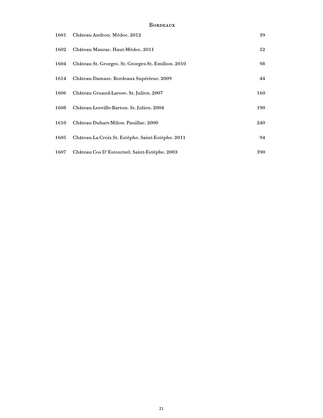#### **BORDEAUX**

| 1601 | Château Andron. Médoc. 2012                        | 39  |
|------|----------------------------------------------------|-----|
| 1602 | Château Maurac. Haut-Médoc. 2011                   | 52  |
| 1604 | Château St. Georges. St. Georges-St. Emilion. 2010 | 98  |
| 1614 | Château Damase. Bordeaux Supérieur. 2009           | 44  |
| 1606 | Château Gruaud-Larose. St. Julien. 2007            | 160 |
| 1608 | Château Leoville-Barton. St. Julien. 2004          | 190 |
| 1610 | Château Duhart-Milon. Pauillac. 2000               | 240 |
| 1605 | Château La Croix St. Estèphe. Saint-Estèphe. 2011  | 94  |
| 1607 | Château Cos D'Estournel. Saint-Estèphe. 2003       | 390 |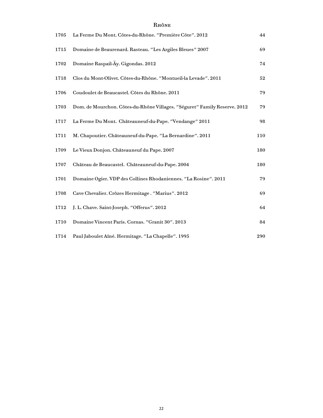| 1705 | La Ferme Du Mont. Côtes-du-Rhône. "Première Côte". 2012                   | 44  |
|------|---------------------------------------------------------------------------|-----|
| 1715 | Domaine de Beaurenard. Rasteau. "Les Argiles Bleues" 2007                 | 69  |
| 1702 | Domaine Raspail-Ay. Gigondas. 2012                                        | 74  |
| 1718 | Clos du Mont-Olivet. Côtes-du-Rhône. "Montueil-la Levade". 2011           | 52  |
| 1706 | Coudoulet de Beaucastel. Côtes du Rhône. 2011                             | 79  |
| 1703 | Dom. de Mourchon. Côtes-du-Rhône Villages. "Séguret" Family Reserve. 2012 | 79  |
| 1717 | La Ferme Du Mont. Châteauneuf-du-Pape. "Vendange" 2011                    | 98  |
| 1711 | M. Chapoutier. Châteauneuf-du-Pape. "La Bernardine". 2011                 | 110 |
| 1709 | Le Vieux Donjon. Châteauneuf du Pape. 2007                                | 180 |
| 1707 | Château de Beaucastel. Châteauneuf-du-Pape. 2004                          | 180 |
| 1701 | Domaine Ogier. VDP des Collines Rhodaniennes. "La Rosine". 2011           | 79  |
| 1708 | Cave Chevalier. Crôzes Hermitage. "Marius". 2012                          | 69  |
| 1712 | J. L. Chave. Saint-Joseph. "Offerus". 2012                                | 64  |
| 1710 | Domaine Vincent Paris. Cornas. "Granit 30". 2013                          | 84  |
| 1714 | Paul Jaboulet Aîné. Hermitage. "La Chapelle". 1995                        | 290 |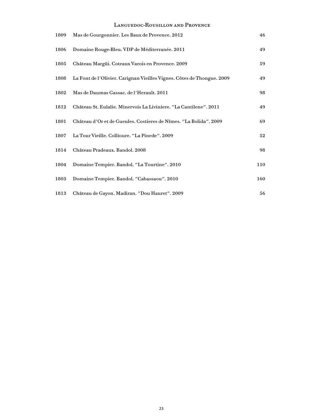#### Languedoc-Rousillon and Provence

| 1809 | Mas de Gourgonnier. Les Baux de Provence. 2012                         | 46  |
|------|------------------------------------------------------------------------|-----|
| 1806 | Domaine Rouge-Bleu. VDP de Méditerranée. 2011                          | 49  |
| 1805 | Château Margüi. Coteaux Varois en Provence. 2009                       | 59  |
| 1808 | La Font de l'Olivier. Carignan Vieilles Vignes. Côtes de Thongue. 2009 | 49  |
| 1802 | Mas de Daumas Gassac. de l'Herault. 2011                               | 98  |
| 1812 | Château St. Eulalie. Minervois La Liviniere. "La Cantilene". 2011      | 49  |
| 1801 | Château d'Or et de Gueules. Costieres de Nîmes. "La Bolida". 2009      | 69  |
| 1807 | La Tour Vieille. Collioure. "La Pinede". 2009                          | 52  |
| 1814 | Château Pradeaux. Bandol. 2008                                         | 98  |
| 1804 | Domaine Tempier. Bandol. "La Tourtine". 2010                           | 110 |
| 1803 | Domaine Tempier. Bandol. "Cabassaou". 2010                             | 160 |
| 1813 | Château de Gayon. Madiran. "Dou Hauret". 2009                          | 56  |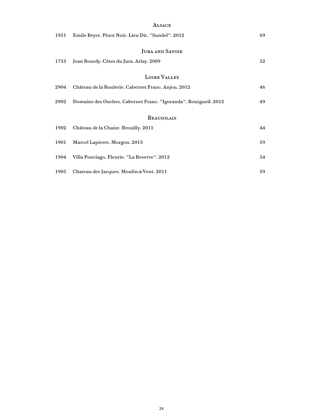|      | <b>ALSACE</b>                                                   |    |
|------|-----------------------------------------------------------------|----|
| 1951 | Emile Beyer. Pinot Noir. Lieu Dit. "Sundel". 2012               | 69 |
|      | <b>JURA AND SAVOIE</b>                                          |    |
| 1753 | Jean Bourdy. Côtes du Jura. Arlay. 2009                         | 52 |
|      | LOIRE VALLEY                                                    |    |
| 2904 | Château de la Roulerie. Cabernet Franc. Anjou. 2012             | 46 |
| 2902 | Domaine des Ouches. Cabernet Franc. "Igoranda". Bourgueil. 2012 | 49 |
|      | <b>BEAUJOLAIS</b>                                               |    |
| 1902 | Château de la Chaize. Brouilly. 2011                            | 44 |
| 1901 | Marcel Lapierre. Morgon. 2013                                   | 59 |
| 1904 | Villa Ponciago. Fleurie. "La Reserve". 2012                     | 54 |
| 1905 | Chateau des Jacques. Moulin-à-Vent. 2011                        | 59 |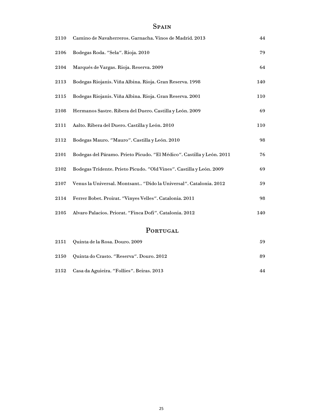## **SPAIN**

| 2110 | Camino de Navaherreros. Garnacha. Vinos de Madrid. 2013               | 44  |
|------|-----------------------------------------------------------------------|-----|
| 2106 | Bodegas Roda. "Sela". Rioja. 2010                                     | 79  |
| 2104 | Marqués de Vargas. Rioja. Reserva. 2009                               | 64  |
| 2113 | Bodegas Riojanis. Viña Albina. Rioja. Gran Reserva. 1998              | 140 |
| 2115 | Bodegas Riojanis. Viña Albina. Rioja. Gran Reserva. 2001              | 110 |
| 2108 | Hermanos Sastre. Ribera del Duero. Castilla y León. 2009              | 69  |
| 2111 | Aalto. Ribera del Duero. Castilla y León. 2010                        | 110 |
| 2112 | Bodegas Mauro. "Mauro". Castilla y León. 2010                         | 98  |
| 2101 | Bodegas del Páramo. Prieto Picudo. "El Médico". Castilla y León. 2011 | 76  |
| 2102 | Bodegas Tridente. Prieto Picudo. "Old Vines". Castilla y León. 2009   | 69  |
| 2107 | Venus la Universal. Montsant "Dido la Universal". Catalonia. 2012     | 59  |
| 2114 | Ferrer Bobet. Proirat. "Vinyes Velles". Catalonia. 2011               | 98  |
| 2105 | Alvaro Palacios. Priorat. "Finca Dofi". Catalonia. 2012               | 140 |
|      |                                                                       |     |

## PORTUGAL

| 2151 Quinta de la Rosa. Douro. 2009            | 59 |
|------------------------------------------------|----|
| 2150 Quinta do Crasto. "Reserva". Douro. 2012  | 89 |
| 2152 Casa da Aguieira. "Follies". Beiras. 2013 | 44 |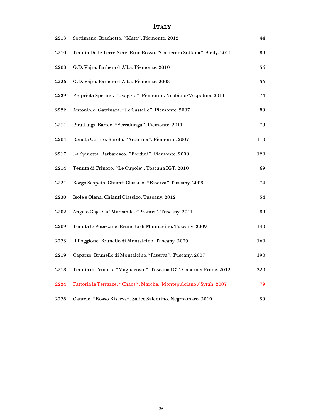## Italy

| 2213 | Sottimano. Brachetto. "Mate". Piemonte. 2012                           | 44  |
|------|------------------------------------------------------------------------|-----|
| 2210 | Tenuta Delle Terre Nere. Etna Rosso. "Calderara Sottana". Sicily. 2011 | 89  |
| 2203 | G.D. Vajra. Barbera d'Alba. Piemonte. 2010                             | 56  |
| 2226 | G.D. Vajra. Barbera d'Alba. Piemonte. 2008                             | 56  |
| 2229 | Proprietà Sperino. "Uvaggio". Piemonte. Nebbiolo/Vespolina. 2011       | 74  |
| 2222 | Antoniolo. Gattinara. "Le Castelle". Piemonte. 2007                    | 89  |
| 2211 | Pira Luigi. Barolo. "Serralunga". Piemonte. 2011                       | 79  |
| 2204 | Renato Corino. Barolo. "Arborina". Piemonte. 2007                      | 110 |
| 2217 | La Spinetta. Barbaresco. "Bordini". Piemonte. 2009                     | 120 |
| 2214 | Tenuta di Trinoro. "Le Cupole". Toscana IGT. 2010                      | 69  |
| 2221 | Borgo Scopeto. Chianti Classico. "Riserva".Tuscany. 2008               | 74  |
| 2230 | Isole e Olena. Chianti Classico. Tuscany. 2012                         | 54  |
| 2202 | Angelo Gaja. Ca' Marcanda. "Promis". Tuscany. 2011                     | 89  |
| 2209 | Tenuta le Potazzine. Brunello di Montalcino. Tuscany. 2009             | 140 |
| 2223 | Il Poggione. Brunello di Montalcino. Tuscany. 2009                     | 160 |
| 2219 | Caparzo. Brunello di Montalcino."Riserva". Tuscany. 2007               | 190 |
| 2218 | Tenuta di Trinoro. "Magnacosta". Toscana IGT. Cabernet Franc. 2012     | 220 |
| 2224 | Fattoria le Terrazze. "Chaos". Marche. Montepulciano / Syrah. 2007     | 79  |
| 2228 | Cantele. "Rosso Riserva". Salice Salentino. Negroamaro. 2010           | 39  |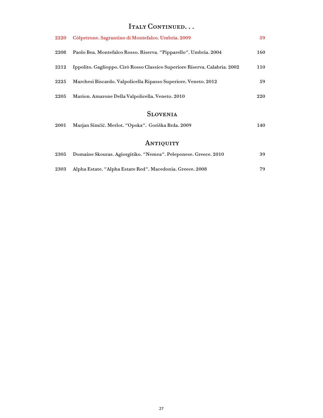## Italy Continued...

| 2220 | Còlpetrone. Sagrantino di Montefalco. Umbria. 2009                         | 59  |
|------|----------------------------------------------------------------------------|-----|
| 2208 | Paolo Bea. Montefalco Rosso. Riserva. "Pipparello". Umbria. 2004           | 160 |
| 2212 | Ippolito. Gaglioppo. Cirò Rosso Classico Superiore Riserva. Calabria. 2002 | 110 |
| 2225 | Marchesi Biscardo. Valpolicella Ripasso Superiore. Veneto. 2012            | 59  |
| 2205 | Marion. Amarone Della Valpolicella. Veneto. 2010                           | 220 |

## Slovenia

|  | 2001 Marjan Simčič. Merlot. "Opoka". Goriška Brda. 2009 |  | 140 |
|--|---------------------------------------------------------|--|-----|
|--|---------------------------------------------------------|--|-----|

## ANTIQUITY

|      | 2305 Domaine Skouras. Agiorgitiko. "Nemea". Peleponese. Greece. 2010 | 39  |
|------|----------------------------------------------------------------------|-----|
| 2303 | Alpha Estate. "Alpha Estate Red". Macedonia. Greece. 2008            | 79. |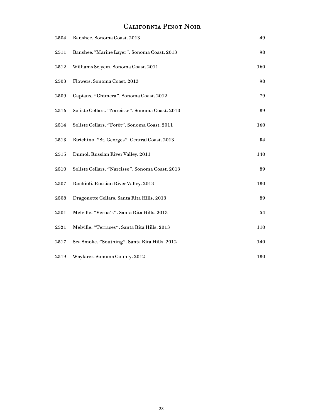# California Pinot Noir

| 2504 | Banshee. Sonoma Coast. 2013                     | 49  |
|------|-------------------------------------------------|-----|
| 2511 | Banshee."Marine Layer". Sonoma Coast. 2013      | 98  |
| 2512 | Williams Selyem. Sonoma Coast. 2011             | 160 |
| 2503 | Flowers. Sonoma Coast. 2013                     | 98  |
| 2509 | Capiaux. "Chimera". Sonoma Coast. 2012          | 79  |
| 2516 | Soliste Cellars. "Narcisse". Sonoma Coast. 2013 | 89  |
| 2514 | Soliste Cellars. "Forêt". Sonoma Coast. 2011    | 160 |
| 2513 | Birichino. "St. Georges". Central Coast. 2013   | 54  |
| 2515 | Dumol. Russian River Valley. 2011               | 140 |
| 2510 | Soliste Cellars. "Narcisse". Sonoma Coast. 2013 | 89  |
| 2507 | Rochioli. Russian River Valley. 2013            | 180 |
| 2508 | Dragonette Cellars. Santa Rita Hills. 2013      | 89  |
| 2501 | Melville. "Verna's". Santa Rita Hills. 2013     | 54  |
| 2521 | Melville. "Terraces". Santa Rita Hills. 2013    | 110 |
| 2517 | Sea Smoke. "Southing". Santa Rita Hills. 2012   | 140 |
| 2519 | Wayfarer. Sonoma County. 2012                   | 180 |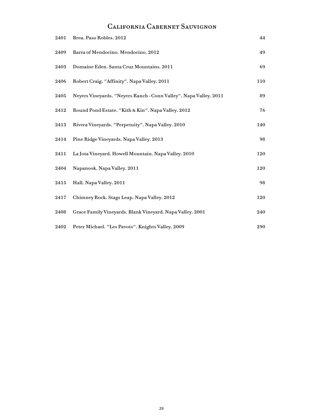## California Cabernet Sauvignon

| 2401 | Brea. Paso Robles. 2012                                           | 44  |
|------|-------------------------------------------------------------------|-----|
| 2409 | Barra of Mendocino. Mendocino. 2012                               | 49  |
| 2403 | Domaine Eden. Santa Cruz Mountains. 2011                          | 69  |
| 2406 | Robert Craig. "Affinity". Napa Valley. 2011                       | 110 |
| 2405 | Neyers Vineyards. "Neyers Ranch - Conn Valley". Napa Valley. 2011 | 89  |
| 2412 | Round Pond Estate. "Kith & Kin". Napa Valley. 2012                | 76  |
| 2413 | Rivera Vineyards. "Perpetuity". Napa Valley. 2010                 | 140 |
| 2414 | Pine Ridge Vineyards. Napa Valley. 2013                           | 98  |
| 2411 | La Jota Vineyard. Howell Mountain. Napa Valley. 2010              | 120 |
| 2404 | Napanook. Napa Valley. 2011                                       | 120 |
| 2415 | Hall. Napa Valley. 2011                                           | 98  |
| 2417 | Chimney Rock. Stags Leap. Napa Valley. 2012                       | 120 |
| 2408 | Grace Family Vineyards. Blank Vineyard. Napa Valley. 2001         | 240 |
| 2402 | Peter Michael. "Les Pavots". Knights Valley. 2009                 | 290 |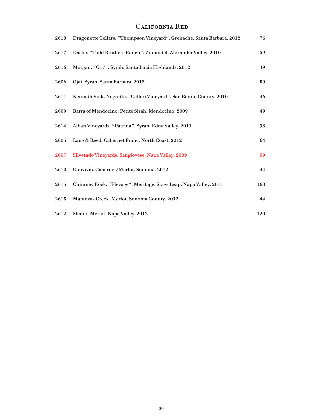## California Red

| 2618 | Dragonette Cellars. "Thompson Vineyard". Grenache. Santa Barbara. 2012 | 76  |
|------|------------------------------------------------------------------------|-----|
| 2617 | Dashe. "Todd Brothers Ranch". Zinfandel. Alexander Valley. 2010        | 59  |
| 2616 | Morgan. "G17". Syrah. Santa Lucia Highlands. 2012                      | 49  |
| 2606 | Ojai. Syrah. Santa Barbara. 2013                                       | 59  |
| 2611 | Kenneth Volk. Negrette. "Calleri Vineyard". San Benito County. 2010    | 46  |
| 2609 | Barra of Mendocino. Petite Sirah. Mendocino. 2009                      | 49  |
| 2614 | Alban Vineyards. "Patrina". Syrah. Edna Valley. 2011                   | 98  |
| 2605 | Lang & Reed. Cabernet Franc. North Coast. 2012                         | 64  |
| 2607 | Silverado Vineyards. Sangiovese. Napa Valley. 2009                     | 59  |
| 2613 | Convivio. Cabernet/Merlot. Sonoma. 2012                                | 44  |
| 2615 | Chimney Rock. "Elevage". Meritage. Stags Leap. Napa Valley. 2011       | 160 |
| 2615 | Matanzas Creek. Merlot. Sonoma County. 2012                            | 44  |
| 2612 | Shafer. Merlot. Napa Valley. 2012                                      | 120 |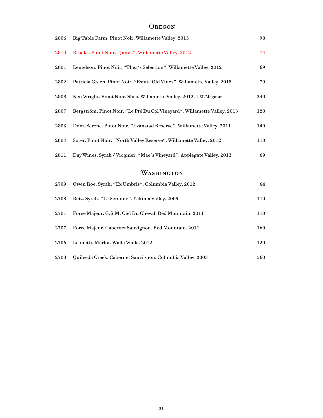#### **OREGON**

| 2806 | Big Table Farm. Pinot Noir. Willamette Valley. 2013                      | 98  |
|------|--------------------------------------------------------------------------|-----|
| 2810 | Brooks. Pinot Noir. "Janus". Willamette Valley. 2012                     | 74  |
| 2801 | Lemelson. Pinot Noir. "Thea's Selection". Willamette Valley. 2012        | 69  |
| 2802 | Patricia Green. Pinot Noir. "Estate Old Vines". Willamette Valley. 2013  | 79  |
| 2808 | Ken Wright. Pinot Noir. Shea. Willamette Valley. 2012. 1.5L Magnum       | 240 |
| 2807 | Bergström. Pinot Noir. "Le Pré Du Col Vineyard". Willamette Valley. 2013 | 120 |
| 2803 | Dom. Serene. Pinot Noir. "Evanstad Reserve". Willamette Valley. 2011     | 140 |
| 2804 | Soter. Pinot Noir. "North Valley Reserve". Willamette Valley. 2012       | 110 |
| 2811 | Day Wines. Syrah / Viognier. "Mae's Vineyard". Applegate Valley. 2013    | 69  |
|      | WASHINGTON                                                               |     |
| 2709 | Owen Roe. Syrah. "Ex Umbris". Columbia Valley. 2012                      | 64  |
| 2708 | Betz. Syrah. "La Serenne". Yakima Valley. 2009                           | 110 |
| 2701 | Force Majeur. G.S.M. Ciel Du Cheval. Red Mountain. 2011                  | 110 |
| 2707 | Force Majeur. Cabernet Sauvignon. Red Mountain. 2011                     | 160 |
| 2706 | Leonetti. Merlot. Walla Walla. 2012                                      | 120 |
| 2703 | Quilceda Creek. Cabernet Sauvignon. Columbia Valley. 2003                | 560 |